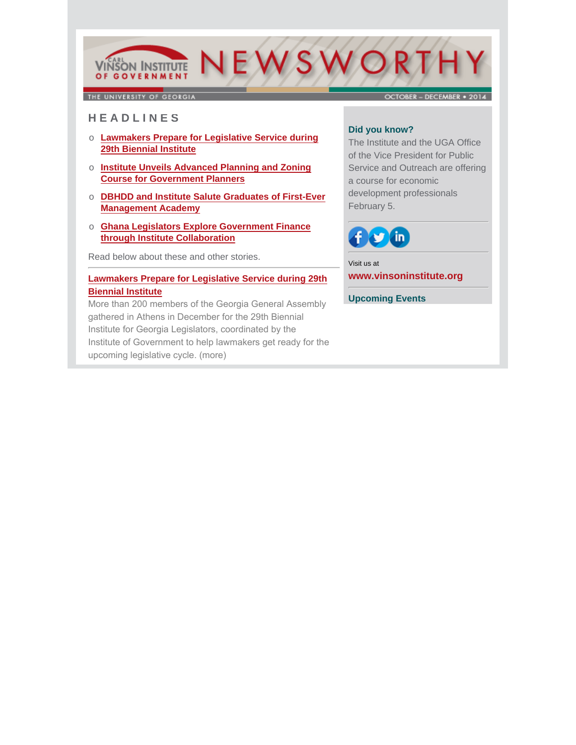# VIÑSON INSTITUTE NEWSWORTH

THE UNIVERSITY OF GEORGIA

### OCTORER - DECEMBER . 2014

# **H E A D L I N E S**

- o **Lawmakers Prepare for Legislative Service during 29th Biennial Institute**
- o **Institute Unveils Advanced Planning and Zoning Course for Government Planners**
- o **DBHDD and Institute Salute Graduates of First-Ever Management Academy**
- o **Ghana Legislators Explore Government Finance through Institute Collaboration**

Read below about these and other stories.

### **Lawmakers Prepare for Legislative Service during 29th Biennial Institute**

More than 200 members of the Georgia General Assembly gathered in Athens in December for the 29th Biennial Institute for Georgia Legislators, coordinated by the [Institute of Government to help lawmakers get ready for the](http://www.cviog.uga.edu/news/spotlights/121614-biennial.html)  upcoming legislative cycle. (more)

### **Did you know?**

The Institute and the UGA Office of the Vice President for Public Service and Outreach are offering a course for economic development professionals February 5.



Visit us at **[www.vinsoninstitute.org](http://www.cviog.uga.edu)**

**Upcoming Events**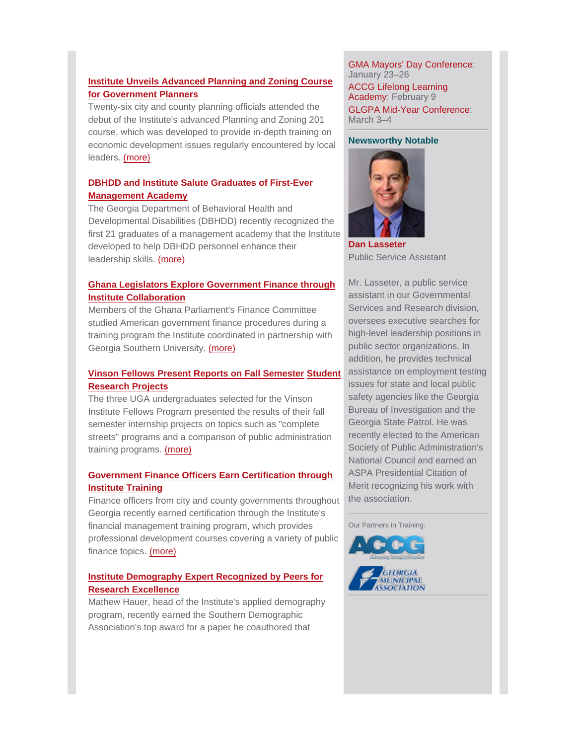### **Institute Unveils Advanced Planning and Zoning Course for Government Planners**

Twenty-six city and county planning officials attended the debut of the Institute's advanced Planning and Zoning 201 course, which was developed to provide in-depth training on [economic development issues regularly encountered by local](http://cviog.uga.edu/news/spotlights/120514-course.html) leaders. (more)

# **DBHDD and Institute Salute Graduates of First-Ever Management Academy**

The Georgia Department of Behavioral Health and [Developmental Disabilities \(DBHDD\) recently recognized the](http://cviog.uga.edu/news/spotlights/121014-dbhdd.html) first 21 graduates of a management academy that the Institute developed to help DBHDD personnel enhance their leadership skills. (more)

### **[Ghana Legislators Explore Government Finance through](http://www.cviog.uga.edu/news/spotlights/102214-ghana.html) Institute Collaboration**

Members of the Ghana Parliament's Finance Committee studied American government finance procedures during a training program the Institute coordinated in partnership with Georgia Southern University. (more)

### **Vinson Fellows Present Reports on Fall Semester Student Research Projects**

The three UGA undergraduates selected for the Vinson Institute Fellows Program presented the results of their fall semester internship projects on topics such as "complete [streets" programs and a comparison of public administration](http://cviog.uga.edu/news/spotlights/122314-fellows.html) training programs. (more)

### **[Government Finance Officers Earn Certification through](http://cviog.uga.edu/news/spotlights/120414-finance.html) Institute Training**

Finance officers from city and county governments throughout Georgia recently earned certification through the Institute's financial management training program, which provides professional development courses covering a variety of public finance topics. (more)

### **Institute Demography Expert Recognized by Peers for Research Excellence**

[Mathew Hauer, head of the Institute's applied demography](http://cviog.uga.edu/news/spotlights/121014-demographics.html) program, recently earned the Southern Demographic Association's top award for a paper he coauthored that

GMA Mayors' Day Conference: January 23–26 ACCG Lifelong Learning Academy: February 9 GLGPA Mid-Year Conference: March 3–4

### **Newsworthy Notable**



**[Dan Lasseter](http://www.cviog.uga.edu/about-us/faculty-staff/dan-lasseter.html)** Public Service Assistant

Mr. Lasseter, a public service assistant in our Governmental Services and Research division, oversees executive searches for high-level leadership positions in public sector organizations. In addition, he provides technical assistance on employment testing issues for state and local public safety agencies like the Georgia Bureau of Investigation and the Georgia State Patrol. He was recently elected to the American Society of Public Administration's National Council and earned an ASPA Presidential Citation of Merit recognizing his work with the association.

Our Partners in Training: